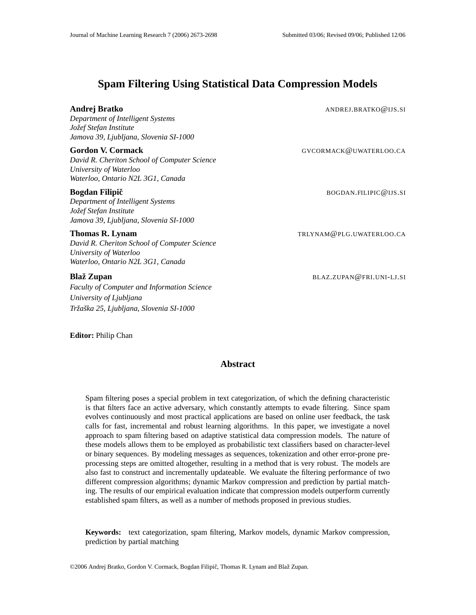# **Spam Filtering Using Statistical Data Compression Models**

**Andrej Bratko** ANDREJ.BRATKO@IJS.SI

*Department of Intelligent Systems Jozef ˇ Stefan Institute Jamova 39, Ljubljana, Slovenia SI-1000*

#### **Gordon V. Cormack** GVCORMACK@UWATERLOO.CA

*David R. Cheriton School of Computer Science University of Waterloo Waterloo, Ontario N2L 3G1, Canada*

#### **Bogdan Filipič**<br>BOGDAN.FILIPIC@IJS.SI

*Department of Intelligent Systems Jozef ˇ Stefan Institute Jamova 39, Ljubljana, Slovenia SI-1000*

## **Thomas R. Lynam** TRLYNAM@PLG.UWATERLOO.CA

*David R. Cheriton School of Computer Science University of Waterloo Waterloo, Ontario N2L 3G1, Canada*

### **Blaž Zupan** BLAZ.ZUPAN@FRI.UNI-LJ.SI

*Faculty of Computer and Information Science University of Ljubljana Trzaˇ ska ˇ 25, Ljubljana, Slovenia SI-1000*

**Editor:** Philip Chan

## **Abstract**

Spam filtering poses a special problem in text categorization, of which the defining characteristic is that filters face an active adversary, which constantly attempts to evade filtering. Since spam evolves continuously and most practical applications are based on online user feedback, the task calls for fast, incremental and robust learning algorithms. In this paper, we investigate a novel approach to spam filtering based on adaptive statistical data compression models. The nature of these models allows them to be employed as probabilistic text classifiers based on character-level or binary sequences. By modeling messages as sequences, tokenization and other error-prone preprocessing steps are omitted altogether, resulting in a method that is very robust. The models are also fast to construct and incrementally updateable. We evaluate the filtering performance of two different compression algorithms; dynamic Markov compression and prediction by partial matching. The results of our empirical evaluation indicate that compression models outperform currently established spam filters, as well as a number of methods proposed in previous studies.

**Keywords:** text categorization, spam filtering, Markov models, dynamic Markov compression, prediction by partial matching

©2006 Andrej Bratko, Gordon V. Cormack, Bogdan Filipič, Thomas R. Lynam and Blaž Zupan.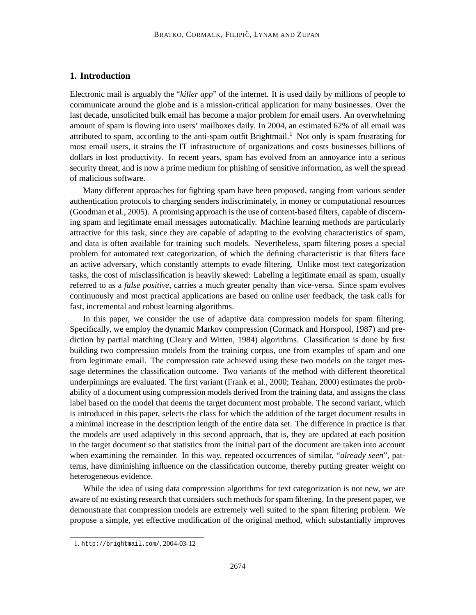## **1. Introduction**

Electronic mail is arguably the "*killer app*" of the internet. It is used daily by millions of people to communicate around the globe and is a mission-critical application for many businesses. Over the last decade, unsolicited bulk email has become a major problem for email users. An overwhelming amount of spam is flowing into users' mailboxes daily. In 2004, an estimated 62% of all email was attributed to spam, according to the anti-spam outfit Brightmail.<sup>1</sup> Not only is spam frustrating for most email users, it strains the IT infrastructure of organizations and costs businesses billions of dollars in lost productivity. In recent years, spam has evolved from an annoyance into a serious security threat, and is now a prime medium for phishing of sensitive information, as well the spread of malicious software.

Many different approaches for fighting spam have been proposed, ranging from various sender authentication protocols to charging senders indiscriminately, in money or computational resources (Goodman et al., 2005). A promising approach is the use of content-based filters, capable of discerning spam and legitimate email messages automatically. Machine learning methods are particularly attractive for this task, since they are capable of adapting to the evolving characteristics of spam, and data is often available for training such models. Nevertheless, spam filtering poses a special problem for automated text categorization, of which the defining characteristic is that filters face an active adversary, which constantly attempts to evade filtering. Unlike most text categorization tasks, the cost of misclassification is heavily skewed: Labeling a legitimate email as spam, usually referred to as a *false positive*, carries a much greater penalty than vice-versa. Since spam evolves continuously and most practical applications are based on online user feedback, the task calls for fast, incremental and robust learning algorithms.

In this paper, we consider the use of adaptive data compression models for spam filtering. Specifically, we employ the dynamic Markov compression (Cormack and Horspool, 1987) and prediction by partial matching (Cleary and Witten, 1984) algorithms. Classification is done by first building two compression models from the training corpus, one from examples of spam and one from legitimate email. The compression rate achieved using these two models on the target message determines the classification outcome. Two variants of the method with different theoretical underpinnings are evaluated. The first variant (Frank et al., 2000; Teahan, 2000) estimates the probability of a document using compression models derived from the training data, and assigns the class label based on the model that deems the target document most probable. The second variant, which is introduced in this paper, selects the class for which the addition of the target document results in a minimal increase in the description length of the entire data set. The difference in practice is that the models are used adaptively in this second approach, that is, they are updated at each position in the target document so that statistics from the initial part of the document are taken into account when examining the remainder. In this way, repeated occurrences of similar, "*already seen*", patterns, have diminishing influence on the classification outcome, thereby putting greater weight on heterogeneous evidence.

While the idea of using data compression algorithms for text categorization is not new, we are aware of no existing research that considers such methods for spam filtering. In the present paper, we demonstrate that compression models are extremely well suited to the spam filtering problem. We propose a simple, yet effective modification of the original method, which substantially improves

<sup>1.</sup> http://brightmail.com/, 2004-03-12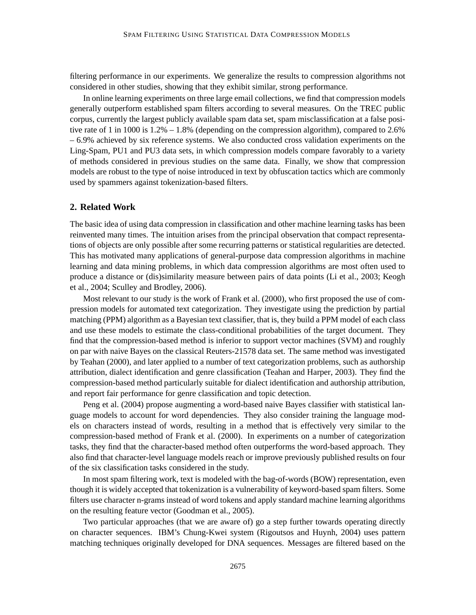filtering performance in our experiments. We generalize the results to compression algorithms not considered in other studies, showing that they exhibit similar, strong performance.

In online learning experiments on three large email collections, we find that compression models generally outperform established spam filters according to several measures. On the TREC public corpus, currently the largest publicly available spam data set, spam misclassification at a false positive rate of 1 in 1000 is 1.2% – 1.8% (depending on the compression algorithm), compared to 2.6% – 6.9% achieved by six reference systems. We also conducted cross validation experiments on the Ling-Spam, PU1 and PU3 data sets, in which compression models compare favorably to a variety of methods considered in previous studies on the same data. Finally, we show that compression models are robust to the type of noise introduced in text by obfuscation tactics which are commonly used by spammers against tokenization-based filters.

### **2. Related Work**

The basic idea of using data compression in classification and other machine learning tasks has been reinvented many times. The intuition arises from the principal observation that compact representations of objects are only possible after some recurring patterns or statistical regularities are detected. This has motivated many applications of general-purpose data compression algorithms in machine learning and data mining problems, in which data compression algorithms are most often used to produce a distance or (dis)similarity measure between pairs of data points (Li et al., 2003; Keogh et al., 2004; Sculley and Brodley, 2006).

Most relevant to our study is the work of Frank et al. (2000), who first proposed the use of compression models for automated text categorization. They investigate using the prediction by partial matching (PPM) algorithm as a Bayesian text classifier, that is, they build a PPM model of each class and use these models to estimate the class-conditional probabilities of the target document. They find that the compression-based method is inferior to support vector machines (SVM) and roughly on par with naive Bayes on the classical Reuters-21578 data set. The same method was investigated by Teahan (2000), and later applied to a number of text categorization problems, such as authorship attribution, dialect identification and genre classification (Teahan and Harper, 2003). They find the compression-based method particularly suitable for dialect identification and authorship attribution, and report fair performance for genre classification and topic detection.

Peng et al. (2004) propose augmenting a word-based naive Bayes classifier with statistical language models to account for word dependencies. They also consider training the language models on characters instead of words, resulting in a method that is effectively very similar to the compression-based method of Frank et al. (2000). In experiments on a number of categorization tasks, they find that the character-based method often outperforms the word-based approach. They also find that character-level language models reach or improve previously published results on four of the six classification tasks considered in the study.

In most spam filtering work, text is modeled with the bag-of-words (BOW) representation, even though it is widely accepted that tokenization is a vulnerability of keyword-based spam filters. Some filters use character n-grams instead of word tokens and apply standard machine learning algorithms on the resulting feature vector (Goodman et al., 2005).

Two particular approaches (that we are aware of) go a step further towards operating directly on character sequences. IBM's Chung-Kwei system (Rigoutsos and Huynh, 2004) uses pattern matching techniques originally developed for DNA sequences. Messages are filtered based on the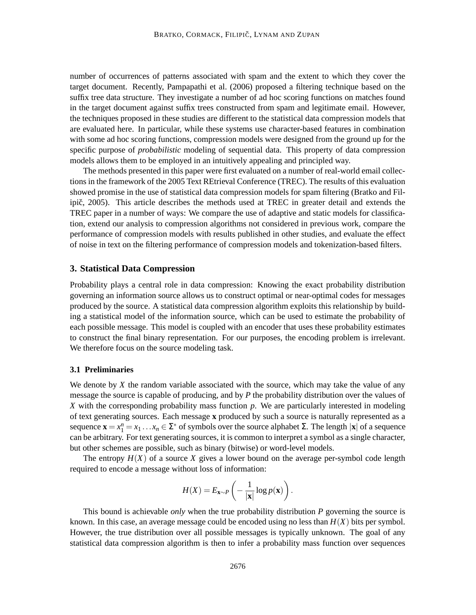number of occurrences of patterns associated with spam and the extent to which they cover the target document. Recently, Pampapathi et al. (2006) proposed a filtering technique based on the suffix tree data structure. They investigate a number of ad hoc scoring functions on matches found in the target document against suffix trees constructed from spam and legitimate email. However, the techniques proposed in these studies are different to the statistical data compression models that are evaluated here. In particular, while these systems use character-based features in combination with some ad hoc scoring functions, compression models were designed from the ground up for the specific purpose of *probabilistic* modeling of sequential data. This property of data compression models allows them to be employed in an intuitively appealing and principled way.

The methods presented in this paper were first evaluated on a number of real-world email collections in the framework of the 2005 Text REtrieval Conference (TREC). The results of this evaluation showed promise in the use of statistical data compression models for spam filtering (Bratko and Filipič, 2005). This article describes the methods used at TREC in greater detail and extends the TREC paper in a number of ways: We compare the use of adaptive and static models for classification, extend our analysis to compression algorithms not considered in previous work, compare the performance of compression models with results published in other studies, and evaluate the effect of noise in text on the filtering performance of compression models and tokenization-based filters.

## **3. Statistical Data Compression**

Probability plays a central role in data compression: Knowing the exact probability distribution governing an information source allows us to construct optimal or near-optimal codes for messages produced by the source. A statistical data compression algorithm exploits this relationship by building a statistical model of the information source, which can be used to estimate the probability of each possible message. This model is coupled with an encoder that uses these probability estimates to construct the final binary representation. For our purposes, the encoding problem is irrelevant. We therefore focus on the source modeling task.

### **3.1 Preliminaries**

We denote by *X* the random variable associated with the source, which may take the value of any message the source is capable of producing, and by *P* the probability distribution over the values of *X* with the corresponding probability mass function *p*. We are particularly interested in modeling of text generating sources. Each message **x** produced by such a source is naturally represented as a sequence  $\mathbf{x} = x_1^n = x_1 \dots x_n \in \Sigma^*$  of symbols over the source alphabet  $\Sigma$ . The length  $|\mathbf{x}|$  of a sequence can be arbitrary. For text generating sources, it is common to interpret a symbol as a single character, but other schemes are possible, such as binary (bitwise) or word-level models.

The entropy  $H(X)$  of a source X gives a lower bound on the average per-symbol code length required to encode a message without loss of information:

$$
H(X) = E_{\mathbf{x} \sim P}\left(-\frac{1}{|\mathbf{x}|}\log p(\mathbf{x})\right).
$$

This bound is achievable *only* when the true probability distribution *P* governing the source is known. In this case, an average message could be encoded using no less than  $H(X)$  bits per symbol. However, the true distribution over all possible messages is typically unknown. The goal of any statistical data compression algorithm is then to infer a probability mass function over sequences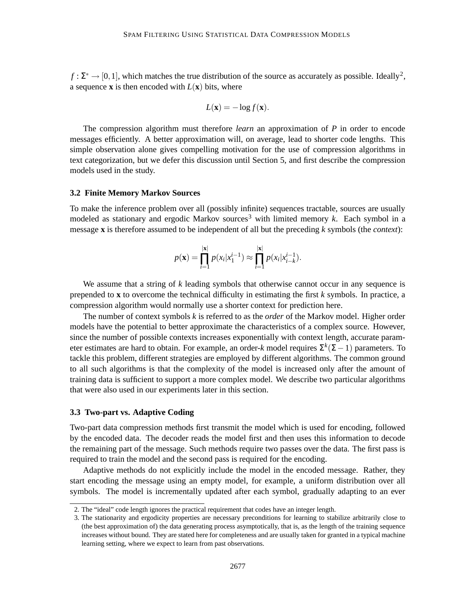$f: \Sigma^* \to [0,1]$ , which matches the true distribution of the source as accurately as possible. Ideally<sup>2</sup>, a sequence **x** is then encoded with  $L(\mathbf{x})$  bits, where

$$
L(\mathbf{x}) = -\log f(\mathbf{x}).
$$

The compression algorithm must therefore *learn* an approximation of *P* in order to encode messages efficiently. A better approximation will, on average, lead to shorter code lengths. This simple observation alone gives compelling motivation for the use of compression algorithms in text categorization, but we defer this discussion until Section 5, and first describe the compression models used in the study.

#### **3.2 Finite Memory Markov Sources**

To make the inference problem over all (possibly infinite) sequences tractable, sources are usually modeled as stationary and ergodic Markov sources<sup>3</sup> with limited memory  $k$ . Each symbol in a message **x** is therefore assumed to be independent of all but the preceding *k* symbols (the *context*):

$$
p(\mathbf{x}) = \prod_{i=1}^{|\mathbf{x}|} p(x_i | x_1^{i-1}) \approx \prod_{i=1}^{|\mathbf{x}|} p(x_i | x_{i-k}^{i-1}).
$$

We assume that a string of *k* leading symbols that otherwise cannot occur in any sequence is prepended to **x** to overcome the technical difficulty in estimating the first *k* symbols. In practice, a compression algorithm would normally use a shorter context for prediction here.

The number of context symbols *k* is referred to as the *order* of the Markov model. Higher order models have the potential to better approximate the characteristics of a complex source. However, since the number of possible contexts increases exponentially with context length, accurate parameter estimates are hard to obtain. For example, an order-*k* model requires Σ *k* (Σ−1) parameters. To tackle this problem, different strategies are employed by different algorithms. The common ground to all such algorithms is that the complexity of the model is increased only after the amount of training data is sufficient to support a more complex model. We describe two particular algorithms that were also used in our experiments later in this section.

#### **3.3 Two-part vs. Adaptive Coding**

Two-part data compression methods first transmit the model which is used for encoding, followed by the encoded data. The decoder reads the model first and then uses this information to decode the remaining part of the message. Such methods require two passes over the data. The first pass is required to train the model and the second pass is required for the encoding.

Adaptive methods do not explicitly include the model in the encoded message. Rather, they start encoding the message using an empty model, for example, a uniform distribution over all symbols. The model is incrementally updated after each symbol, gradually adapting to an ever

<sup>2.</sup> The "ideal" code length ignores the practical requirement that codes have an integer length.

<sup>3.</sup> The stationarity and ergodicity properties are necessary preconditions for learning to stabilize arbitrarily close to (the best approximation of) the data generating process asymptotically, that is, as the length of the training sequence increases without bound. They are stated here for completeness and are usually taken for granted in a typical machine learning setting, where we expect to learn from past observations.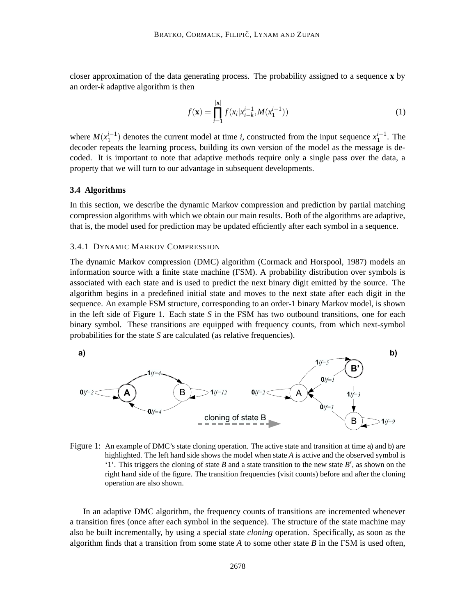closer approximation of the data generating process. The probability assigned to a sequence **x** by an order-*k* adaptive algorithm is then

$$
f(\mathbf{x}) = \prod_{i=1}^{|\mathbf{x}|} f(x_i | x_{i-k}^{i-1}, M(x_1^{i-1}))
$$
\n(1)

where  $M(x_1^{i-1})$  denotes the current model at time *i*, constructed from the input sequence  $x_1^{i-1}$ . The decoder repeats the learning process, building its own version of the model as the message is decoded. It is important to note that adaptive methods require only a single pass over the data, a property that we will turn to our advantage in subsequent developments.

#### **3.4 Algorithms**

In this section, we describe the dynamic Markov compression and prediction by partial matching compression algorithms with which we obtain our main results. Both of the algorithms are adaptive, that is, the model used for prediction may be updated efficiently after each symbol in a sequence.

#### 3.4.1 DYNAMIC MARKOV COMPRESSION

The dynamic Markov compression (DMC) algorithm (Cormack and Horspool, 1987) models an information source with a finite state machine (FSM). A probability distribution over symbols is associated with each state and is used to predict the next binary digit emitted by the source. The algorithm begins in a predefined initial state and moves to the next state after each digit in the sequence. An example FSM structure, corresponding to an order-1 binary Markov model, is shown in the left side of Figure 1. Each state *S* in the FSM has two outbound transitions, one for each binary symbol. These transitions are equipped with frequency counts, from which next-symbol probabilities for the state *S* are calculated (as relative frequencies).



Figure 1: An example of DMC's state cloning operation. The active state and transition at time a) and b) are highlighted. The left hand side shows the model when state *A* is active and the observed symbol is '1'. This triggers the cloning of state  $B$  and a state transition to the new state  $B'$ , as shown on the right hand side of the figure. The transition frequencies (visit counts) before and after the cloning operation are also shown.

In an adaptive DMC algorithm, the frequency counts of transitions are incremented whenever a transition fires (once after each symbol in the sequence). The structure of the state machine may also be built incrementally, by using a special state *cloning* operation. Specifically, as soon as the algorithm finds that a transition from some state *A* to some other state *B* in the FSM is used often,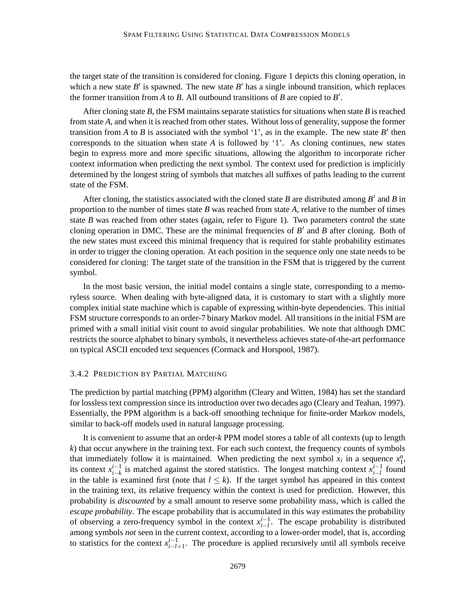the target state of the transition is considered for cloning. Figure 1 depicts this cloning operation, in which a new state  $B'$  is spawned. The new state  $B'$  has a single inbound transition, which replaces the former transition from  $A$  to  $B$ . All outbound transitions of  $B$  are copied to  $B'$ .

After cloning state *B*, the FSM maintains separate statistics for situations when state *B* is reached from state *A*, and when it is reached from other states. Without loss of generality, suppose the former transition from *A* to *B* is associated with the symbol '1', as in the example. The new state  $B'$  then corresponds to the situation when state *A* is followed by '1'. As cloning continues, new states begin to express more and more specific situations, allowing the algorithm to incorporate richer context information when predicting the next symbol. The context used for prediction is implicitly determined by the longest string of symbols that matches all suffixes of paths leading to the current state of the FSM.

After cloning, the statistics associated with the cloned state  $B$  are distributed among  $B'$  and  $B$  in proportion to the number of times state *B* was reached from state *A*, relative to the number of times state *B* was reached from other states (again, refer to Figure 1). Two parameters control the state cloning operation in DMC. These are the minimal frequencies of  $B'$  and  $B$  after cloning. Both of the new states must exceed this minimal frequency that is required for stable probability estimates in order to trigger the cloning operation. At each position in the sequence only one state needs to be considered for cloning: The target state of the transition in the FSM that is triggered by the current symbol.

In the most basic version, the initial model contains a single state, corresponding to a memoryless source. When dealing with byte-aligned data, it is customary to start with a slightly more complex initial state machine which is capable of expressing within-byte dependencies. This initial FSM structure corresponds to an order-7 binary Markov model. All transitions in the initial FSM are primed with a small initial visit count to avoid singular probabilities. We note that although DMC restricts the source alphabet to binary symbols, it nevertheless achieves state-of-the-art performance on typical ASCII encoded text sequences (Cormack and Horspool, 1987).

#### 3.4.2 PREDICTION BY PARTIAL MATCHING

The prediction by partial matching (PPM) algorithm (Cleary and Witten, 1984) has set the standard for lossless text compression since its introduction over two decades ago (Cleary and Teahan, 1997). Essentially, the PPM algorithm is a back-off smoothing technique for finite-order Markov models, similar to back-off models used in natural language processing.

It is convenient to assume that an order-*k* PPM model stores a table of all contexts (up to length *k*) that occur anywhere in the training text. For each such context, the frequency counts of symbols that immediately follow it is maintained. When predicting the next symbol  $x_i$  in a sequence  $x_1^n$ , its context  $x_{i-k}^{i-1}$  is matched against the stored statistics. The longest matching context  $x_{i-l}^{i-1}$  found in the table is examined first (note that  $l \leq k$ ). If the target symbol has appeared in this context in the training text, its relative frequency within the context is used for prediction. However, this probability is *discounted* by a small amount to reserve some probability mass, which is called the *escape probability*. The escape probability that is accumulated in this way estimates the probability of observing a zero-frequency symbol in the context  $x_{i-l}^{i-1}$ . The escape probability is distributed among symbols *not* seen in the current context, according to a lower-order model, that is, according to statistics for the context  $x_{i-l+1}^{i-1}$ . The procedure is applied recursively until all symbols receive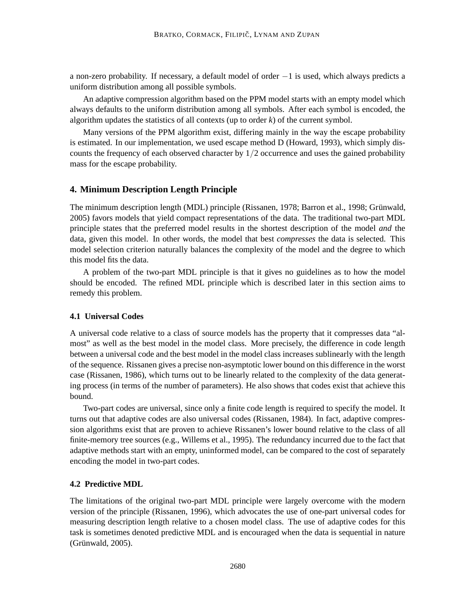a non-zero probability. If necessary, a default model of order −1 is used, which always predicts a uniform distribution among all possible symbols.

An adaptive compression algorithm based on the PPM model starts with an empty model which always defaults to the uniform distribution among all symbols. After each symbol is encoded, the algorithm updates the statistics of all contexts (up to order *k*) of the current symbol.

Many versions of the PPM algorithm exist, differing mainly in the way the escape probability is estimated. In our implementation, we used escape method D (Howard, 1993), which simply discounts the frequency of each observed character by  $1/2$  occurrence and uses the gained probability mass for the escape probability.

## **4. Minimum Description Length Principle**

The minimum description length (MDL) principle (Rissanen, 1978; Barron et al., 1998; Grünwald, 2005) favors models that yield compact representations of the data. The traditional two-part MDL principle states that the preferred model results in the shortest description of the model *and* the data, given this model. In other words, the model that best *compresses* the data is selected. This model selection criterion naturally balances the complexity of the model and the degree to which this model fits the data.

A problem of the two-part MDL principle is that it gives no guidelines as to how the model should be encoded. The refined MDL principle which is described later in this section aims to remedy this problem.

## **4.1 Universal Codes**

A universal code relative to a class of source models has the property that it compresses data "almost" as well as the best model in the model class. More precisely, the difference in code length between a universal code and the best model in the model class increases sublinearly with the length of the sequence. Rissanen gives a precise non-asymptotic lower bound on this difference in the worst case (Rissanen, 1986), which turns out to be linearly related to the complexity of the data generating process (in terms of the number of parameters). He also shows that codes exist that achieve this bound.

Two-part codes are universal, since only a finite code length is required to specify the model. It turns out that adaptive codes are also universal codes (Rissanen, 1984). In fact, adaptive compression algorithms exist that are proven to achieve Rissanen's lower bound relative to the class of all finite-memory tree sources (e.g., Willems et al., 1995). The redundancy incurred due to the fact that adaptive methods start with an empty, uninformed model, can be compared to the cost of separately encoding the model in two-part codes.

#### **4.2 Predictive MDL**

The limitations of the original two-part MDL principle were largely overcome with the modern version of the principle (Rissanen, 1996), which advocates the use of one-part universal codes for measuring description length relative to a chosen model class. The use of adaptive codes for this task is sometimes denoted predictive MDL and is encouraged when the data is sequential in nature  $(Griinwald, 2005).$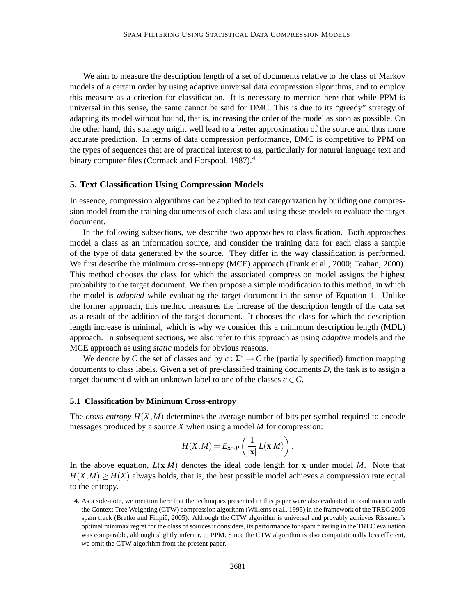We aim to measure the description length of a set of documents relative to the class of Markov models of a certain order by using adaptive universal data compression algorithms, and to employ this measure as a criterion for classification. It is necessary to mention here that while PPM is universal in this sense, the same cannot be said for DMC. This is due to its "greedy" strategy of adapting its model without bound, that is, increasing the order of the model as soon as possible. On the other hand, this strategy might well lead to a better approximation of the source and thus more accurate prediction. In terms of data compression performance, DMC is competitive to PPM on the types of sequences that are of practical interest to us, particularly for natural language text and binary computer files (Cormack and Horspool, 1987).<sup>4</sup>

#### **5. Text Classification Using Compression Models**

In essence, compression algorithms can be applied to text categorization by building one compression model from the training documents of each class and using these models to evaluate the target document.

In the following subsections, we describe two approaches to classification. Both approaches model a class as an information source, and consider the training data for each class a sample of the type of data generated by the source. They differ in the way classification is performed. We first describe the minimum cross-entropy (MCE) approach (Frank et al., 2000; Teahan, 2000). This method chooses the class for which the associated compression model assigns the highest probability to the target document. We then propose a simple modification to this method, in which the model is *adapted* while evaluating the target document in the sense of Equation 1. Unlike the former approach, this method measures the increase of the description length of the data set as a result of the addition of the target document. It chooses the class for which the description length increase is minimal, which is why we consider this a minimum description length (MDL) approach. In subsequent sections, we also refer to this approach as using *adaptive* models and the MCE approach as using *static* models for obvious reasons.

We denote by *C* the set of classes and by  $c : \Sigma^* \to C$  the (partially specified) function mapping documents to class labels. Given a set of pre-classified training documents *D*, the task is to assign a target document **d** with an unknown label to one of the classes  $c \in C$ .

### **5.1 Classification by Minimum Cross-entropy**

The *cross-entropy*  $H(X, M)$  determines the average number of bits per symbol required to encode messages produced by a source *X* when using a model *M* for compression:

$$
H(X,M) = E_{\mathbf{x} \sim P}\left(\frac{1}{|\mathbf{x}|} L(\mathbf{x}|M)\right).
$$

In the above equation,  $L(\mathbf{x}|M)$  denotes the ideal code length for **x** under model M. Note that  $H(X,M) \ge H(X)$  always holds, that is, the best possible model achieves a compression rate equal to the entropy.

<sup>4.</sup> As a side-note, we mention here that the techniques presented in this paper were also evaluated in combination with the Context Tree Weighting (CTW) compression algorithm (Willems et al., 1995) in the framework of the TREC 2005 spam track (Bratko and Filipič, 2005). Although the CTW algorithm is universal and provably achieves Rissanen's optimal minimax regret for the class of sources it considers, its performance for spam filtering in the TREC evaluation was comparable, although slightly inferior, to PPM. Since the CTW algorithm is also computationally less efficient, we omit the CTW algorithm from the present paper.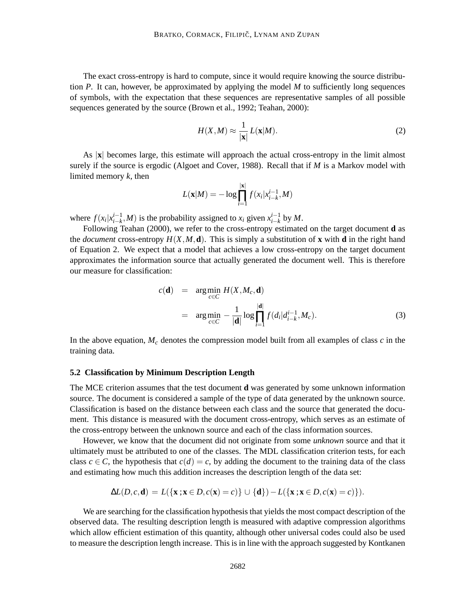The exact cross-entropy is hard to compute, since it would require knowing the source distribution *P*. It can, however, be approximated by applying the model *M* to sufficiently long sequences of symbols, with the expectation that these sequences are representative samples of all possible sequences generated by the source (Brown et al., 1992; Teahan, 2000):

$$
H(X,M) \approx \frac{1}{|\mathbf{x}|} L(\mathbf{x}|M). \tag{2}
$$

As |**x**| becomes large, this estimate will approach the actual cross-entropy in the limit almost surely if the source is ergodic (Algoet and Cover, 1988). Recall that if *M* is a Markov model with limited memory *k*, then

$$
L(\mathbf{x}|M) = -\log \prod_{i=1}^{|\mathbf{x}|} f(x_i | x_{i-k}^{i-1}, M)
$$

where  $f(x_i|x_{i-k}^{i-1}, M)$  is the probability assigned to  $x_i$  given  $x_{i-k}^{i-1}$  by  $M$ .

Following Teahan (2000), we refer to the cross-entropy estimated on the target document **d** as the *document* cross-entropy  $H(X, M, d)$ . This is simply a substitution of **x** with **d** in the right hand of Equation 2. We expect that a model that achieves a low cross-entropy on the target document approximates the information source that actually generated the document well. This is therefore our measure for classification:

$$
c(\mathbf{d}) = \arg\min_{c \in C} H(X, M_c, \mathbf{d})
$$
  
= 
$$
\arg\min_{c \in C} -\frac{1}{|\mathbf{d}|} \log \prod_{i=1}^{|\mathbf{d}|} f(d_i | d_{i-k}^{i-1}, M_c).
$$
 (3)

In the above equation,  $M_c$  denotes the compression model built from all examples of class  $c$  in the training data.

#### **5.2 Classification by Minimum Description Length**

The MCE criterion assumes that the test document **d** was generated by some unknown information source. The document is considered a sample of the type of data generated by the unknown source. Classification is based on the distance between each class and the source that generated the document. This distance is measured with the document cross-entropy, which serves as an estimate of the cross-entropy between the unknown source and each of the class information sources.

However, we know that the document did not originate from some *unknown* source and that it ultimately must be attributed to one of the classes. The MDL classification criterion tests, for each class  $c \in C$ , the hypothesis that  $c(d) = c$ , by adding the document to the training data of the class and estimating how much this addition increases the description length of the data set:

$$
\Delta L(D,c,\mathbf{d})=L(\{\mathbf{x}:\mathbf{x}\in D,c(\mathbf{x})=c\})\cup \{\mathbf{d}\})-L(\{\mathbf{x}:\mathbf{x}\in D,c(\mathbf{x})=c\})
$$

We are searching for the classification hypothesis that yields the most compact description of the observed data. The resulting description length is measured with adaptive compression algorithms which allow efficient estimation of this quantity, although other universal codes could also be used to measure the description length increase. This is in line with the approach suggested by Kontkanen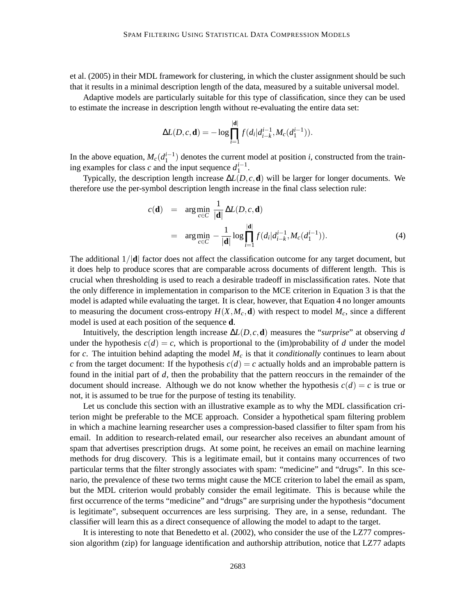et al. (2005) in their MDL framework for clustering, in which the cluster assignment should be such that it results in a minimal description length of the data, measured by a suitable universal model.

Adaptive models are particularly suitable for this type of classification, since they can be used to estimate the increase in description length without re-evaluating the entire data set:

$$
\Delta L(D, c, \mathbf{d}) = -\log \prod_{i=1}^{|\mathbf{d}|} f(d_i | d_{i-k}^{i-1}, M_c(d_1^{i-1})).
$$

In the above equation,  $M_c(d_1^{i-1})$  denotes the current model at position *i*, constructed from the training examples for class *c* and the input sequence  $d_1^{i-1}$ .

Typically, the description length increase ∆*L*(*D*, *c*,**d**) will be larger for longer documents. We therefore use the per-symbol description length increase in the final class selection rule:

$$
c(\mathbf{d}) = \arg\min_{c \in C} \frac{1}{|\mathbf{d}|} \Delta L(D, c, \mathbf{d})
$$
  
= 
$$
\arg\min_{c \in C} -\frac{1}{|\mathbf{d}|} \log \prod_{i=1}^{|\mathbf{d}|} f(d_i | d_{i-k}^{i-1}, M_c(d_1^{i-1})).
$$
 (4)

The additional 1/|**d**| factor does not affect the classification outcome for any target document, but it does help to produce scores that are comparable across documents of different length. This is crucial when thresholding is used to reach a desirable tradeoff in misclassification rates. Note that the only difference in implementation in comparison to the MCE criterion in Equation 3 is that the model is adapted while evaluating the target. It is clear, however, that Equation 4 no longer amounts to measuring the document cross-entropy  $H(X, M_c, \mathbf{d})$  with respect to model  $M_c$ , since a different model is used at each position of the sequence **d**.

Intuitively, the description length increase ∆*L*(*D*, *c*,**d**) measures the "*surprise*" at observing *d* under the hypothesis  $c(d) = c$ , which is proportional to the (im)probability of *d* under the model for *c*. The intuition behind adapting the model *M<sup>c</sup>* is that it *conditionally* continues to learn about *c* from the target document: If the hypothesis  $c(d) = c$  actually holds and an improbable pattern is found in the initial part of *d*, then the probability that the pattern reoccurs in the remainder of the document should increase. Although we do not know whether the hypothesis  $c(d) = c$  is true or not, it is assumed to be true for the purpose of testing its tenability.

Let us conclude this section with an illustrative example as to why the MDL classification criterion might be preferable to the MCE approach. Consider a hypothetical spam filtering problem in which a machine learning researcher uses a compression-based classifier to filter spam from his email. In addition to research-related email, our researcher also receives an abundant amount of spam that advertises prescription drugs. At some point, he receives an email on machine learning methods for drug discovery. This is a legitimate email, but it contains many occurrences of two particular terms that the filter strongly associates with spam: "medicine" and "drugs". In this scenario, the prevalence of these two terms might cause the MCE criterion to label the email as spam, but the MDL criterion would probably consider the email legitimate. This is because while the first occurrence of the terms "medicine" and "drugs" are surprising under the hypothesis "document is legitimate", subsequent occurrences are less surprising. They are, in a sense, redundant. The classifier will learn this as a direct consequence of allowing the model to adapt to the target.

It is interesting to note that Benedetto et al. (2002), who consider the use of the LZ77 compression algorithm (zip) for language identification and authorship attribution, notice that LZ77 adapts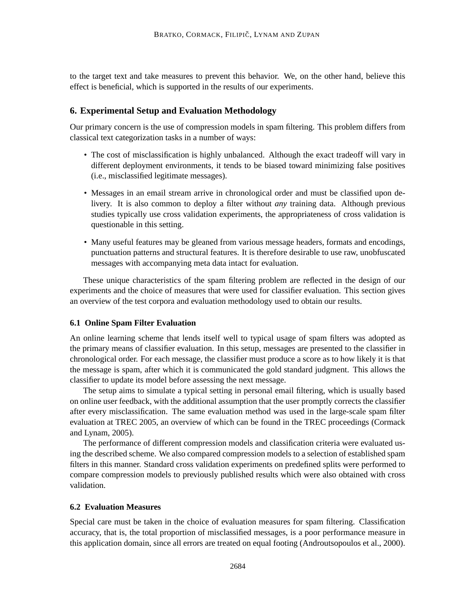to the target text and take measures to prevent this behavior. We, on the other hand, believe this effect is beneficial, which is supported in the results of our experiments.

### **6. Experimental Setup and Evaluation Methodology**

Our primary concern is the use of compression models in spam filtering. This problem differs from classical text categorization tasks in a number of ways:

- The cost of misclassification is highly unbalanced. Although the exact tradeoff will vary in different deployment environments, it tends to be biased toward minimizing false positives (i.e., misclassified legitimate messages).
- Messages in an email stream arrive in chronological order and must be classified upon delivery. It is also common to deploy a filter without *any* training data. Although previous studies typically use cross validation experiments, the appropriateness of cross validation is questionable in this setting.
- Many useful features may be gleaned from various message headers, formats and encodings, punctuation patterns and structural features. It is therefore desirable to use raw, unobfuscated messages with accompanying meta data intact for evaluation.

These unique characteristics of the spam filtering problem are reflected in the design of our experiments and the choice of measures that were used for classifier evaluation. This section gives an overview of the test corpora and evaluation methodology used to obtain our results.

### **6.1 Online Spam Filter Evaluation**

An online learning scheme that lends itself well to typical usage of spam filters was adopted as the primary means of classifier evaluation. In this setup, messages are presented to the classifier in chronological order. For each message, the classifier must produce a score as to how likely it is that the message is spam, after which it is communicated the gold standard judgment. This allows the classifier to update its model before assessing the next message.

The setup aims to simulate a typical setting in personal email filtering, which is usually based on online user feedback, with the additional assumption that the user promptly corrects the classifier after every misclassification. The same evaluation method was used in the large-scale spam filter evaluation at TREC 2005, an overview of which can be found in the TREC proceedings (Cormack and Lynam, 2005).

The performance of different compression models and classification criteria were evaluated using the described scheme. We also compared compression models to a selection of established spam filters in this manner. Standard cross validation experiments on predefined splits were performed to compare compression models to previously published results which were also obtained with cross validation.

#### **6.2 Evaluation Measures**

Special care must be taken in the choice of evaluation measures for spam filtering. Classification accuracy, that is, the total proportion of misclassified messages, is a poor performance measure in this application domain, since all errors are treated on equal footing (Androutsopoulos et al., 2000).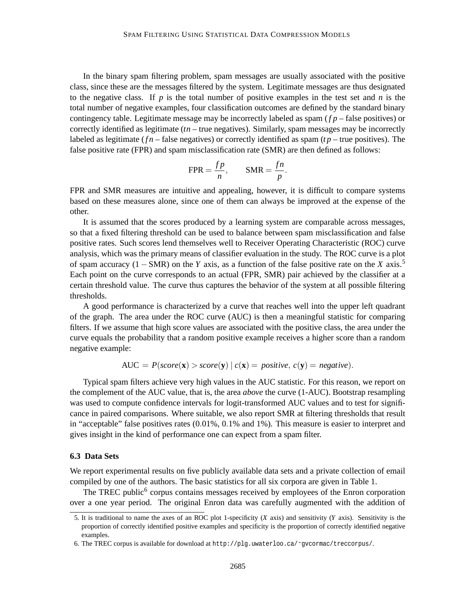In the binary spam filtering problem, spam messages are usually associated with the positive class, since these are the messages filtered by the system. Legitimate messages are thus designated to the negative class. If  $p$  is the total number of positive examples in the test set and  $n$  is the total number of negative examples, four classification outcomes are defined by the standard binary contingency table. Legitimate message may be incorrectly labeled as spam ( $fp$  – false positives) or correctly identified as legitimate (*tn* – true negatives). Similarly, spam messages may be incorrectly labeled as legitimate ( $fn$  – false negatives) or correctly identified as spam ( $tp$  – true positives). The false positive rate (FPR) and spam misclassification rate (SMR) are then defined as follows:

$$
FPR = \frac{fp}{n}, \qquad \text{SMR} = \frac{fn}{p}
$$

.

FPR and SMR measures are intuitive and appealing, however, it is difficult to compare systems based on these measures alone, since one of them can always be improved at the expense of the other.

It is assumed that the scores produced by a learning system are comparable across messages, so that a fixed filtering threshold can be used to balance between spam misclassification and false positive rates. Such scores lend themselves well to Receiver Operating Characteristic (ROC) curve analysis, which was the primary means of classifier evaluation in the study. The ROC curve is a plot of spam accuracy (1 – SMR) on the *Y* axis, as a function of the false positive rate on the *X* axis.<sup>5</sup> Each point on the curve corresponds to an actual (FPR, SMR) pair achieved by the classifier at a certain threshold value. The curve thus captures the behavior of the system at all possible filtering thresholds.

A good performance is characterized by a curve that reaches well into the upper left quadrant of the graph. The area under the ROC curve (AUC) is then a meaningful statistic for comparing filters. If we assume that high score values are associated with the positive class, the area under the curve equals the probability that a random positive example receives a higher score than a random negative example:

$$
AUC = P(score(x) > score(y) | c(x) = positive, c(y) = negative).
$$

Typical spam filters achieve very high values in the AUC statistic. For this reason, we report on the complement of the AUC value, that is, the area *above* the curve (1-AUC). Bootstrap resampling was used to compute confidence intervals for logit-transformed AUC values and to test for significance in paired comparisons. Where suitable, we also report SMR at filtering thresholds that result in "acceptable" false positives rates (0.01%, 0.1% and 1%). This measure is easier to interpret and gives insight in the kind of performance one can expect from a spam filter.

#### **6.3 Data Sets**

We report experimental results on five publicly available data sets and a private collection of email compiled by one of the authors. The basic statistics for all six corpora are given in Table 1.

The TREC public<sup>6</sup> corpus contains messages received by employees of the Enron corporation over a one year period. The original Enron data was carefully augmented with the addition of

<sup>5.</sup> It is traditional to name the axes of an ROC plot 1-specificity (*X* axis) and sensitivity (*Y* axis). Sensitivity is the proportion of correctly identified positive examples and specificity is the proportion of correctly identified negative examples.

<sup>6.</sup> The TREC corpus is available for download at http://plg.uwaterloo.ca/˜gvcormac/treccorpus/.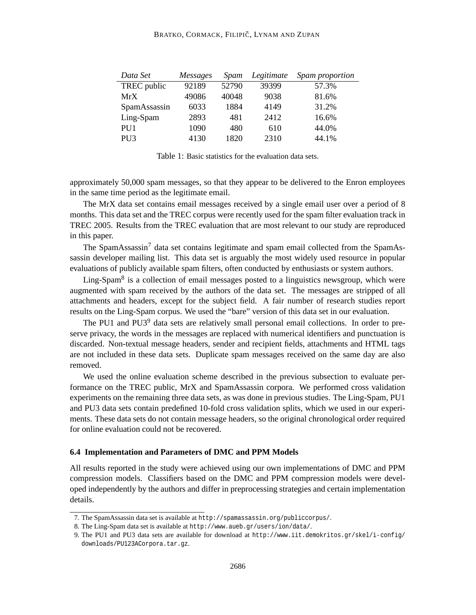#### BRATKO, CORMACK, FILIPIČ, LYNAM AND ZUPAN

| Data Set        | <i>Messages</i> | Spam  | Legitimate | Spam proportion |
|-----------------|-----------------|-------|------------|-----------------|
| TREC public     | 92189           | 52790 | 39399      | 57.3%           |
| MrX             | 49086           | 40048 | 9038       | 81.6%           |
| SpamAssassin    | 6033            | 1884  | 4149       | 31.2%           |
| Ling-Spam       | 2893            | 481   | 2412       | 16.6%           |
| PU <sub>1</sub> | 1090            | 480   | 610        | 44.0%           |
| PU <sub>3</sub> | 4130            | 1820  | 2310       | 44.1%           |

Table 1: Basic statistics for the evaluation data sets.

approximately 50,000 spam messages, so that they appear to be delivered to the Enron employees in the same time period as the legitimate email.

The MrX data set contains email messages received by a single email user over a period of 8 months. This data set and the TREC corpus were recently used for the spam filter evaluation track in TREC 2005. Results from the TREC evaluation that are most relevant to our study are reproduced in this paper.

The SpamAssassin<sup>7</sup> data set contains legitimate and spam email collected from the SpamAssassin developer mailing list. This data set is arguably the most widely used resource in popular evaluations of publicly available spam filters, often conducted by enthusiasts or system authors.

Ling-Spam<sup>8</sup> is a collection of email messages posted to a linguistics newsgroup, which were augmented with spam received by the authors of the data set. The messages are stripped of all attachments and headers, except for the subject field. A fair number of research studies report results on the Ling-Spam corpus. We used the "bare" version of this data set in our evaluation.

The PU1 and PU3<sup>9</sup> data sets are relatively small personal email collections. In order to preserve privacy, the words in the messages are replaced with numerical identifiers and punctuation is discarded. Non-textual message headers, sender and recipient fields, attachments and HTML tags are not included in these data sets. Duplicate spam messages received on the same day are also removed.

We used the online evaluation scheme described in the previous subsection to evaluate performance on the TREC public, MrX and SpamAssassin corpora. We performed cross validation experiments on the remaining three data sets, as was done in previous studies. The Ling-Spam, PU1 and PU3 data sets contain predefined 10-fold cross validation splits, which we used in our experiments. These data sets do not contain message headers, so the original chronological order required for online evaluation could not be recovered.

#### **6.4 Implementation and Parameters of DMC and PPM Models**

All results reported in the study were achieved using our own implementations of DMC and PPM compression models. Classifiers based on the DMC and PPM compression models were developed independently by the authors and differ in preprocessing strategies and certain implementation details.

<sup>7.</sup> The SpamAssassin data set is available at http://spamassassin.org/publiccorpus/.

<sup>8.</sup> The Ling-Spam data set is available at http://www.aueb.gr/users/ion/data/.

<sup>9.</sup> The PU1 and PU3 data sets are available for download at http://www.iit.demokritos.gr/skel/i-config/ downloads/PU123ACorpora.tar.gz.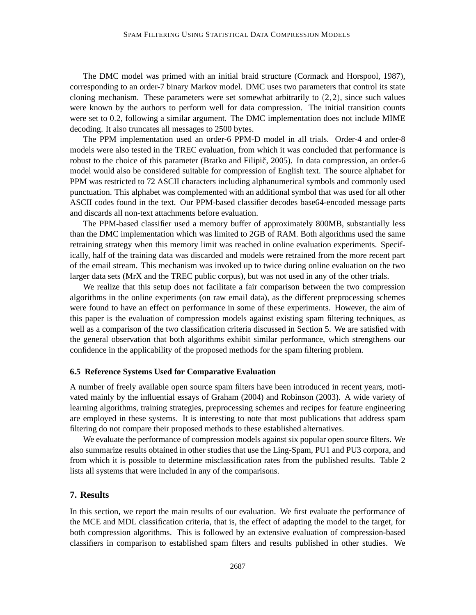The DMC model was primed with an initial braid structure (Cormack and Horspool, 1987), corresponding to an order-7 binary Markov model. DMC uses two parameters that control its state cloning mechanism. These parameters were set somewhat arbitrarily to  $(2,2)$ , since such values were known by the authors to perform well for data compression. The initial transition counts were set to 0.2, following a similar argument. The DMC implementation does not include MIME decoding. It also truncates all messages to 2500 bytes.

The PPM implementation used an order-6 PPM-D model in all trials. Order-4 and order-8 models were also tested in the TREC evaluation, from which it was concluded that performance is robust to the choice of this parameter (Bratko and Filipič, 2005). In data compression, an order-6 model would also be considered suitable for compression of English text. The source alphabet for PPM was restricted to 72 ASCII characters including alphanumerical symbols and commonly used punctuation. This alphabet was complemented with an additional symbol that was used for all other ASCII codes found in the text. Our PPM-based classifier decodes base64-encoded message parts and discards all non-text attachments before evaluation.

The PPM-based classifier used a memory buffer of approximately 800MB, substantially less than the DMC implementation which was limited to 2GB of RAM. Both algorithms used the same retraining strategy when this memory limit was reached in online evaluation experiments. Specifically, half of the training data was discarded and models were retrained from the more recent part of the email stream. This mechanism was invoked up to twice during online evaluation on the two larger data sets (MrX and the TREC public corpus), but was not used in any of the other trials.

We realize that this setup does not facilitate a fair comparison between the two compression algorithms in the online experiments (on raw email data), as the different preprocessing schemes were found to have an effect on performance in some of these experiments. However, the aim of this paper is the evaluation of compression models against existing spam filtering techniques, as well as a comparison of the two classification criteria discussed in Section 5. We are satisfied with the general observation that both algorithms exhibit similar performance, which strengthens our confidence in the applicability of the proposed methods for the spam filtering problem.

#### **6.5 Reference Systems Used for Comparative Evaluation**

A number of freely available open source spam filters have been introduced in recent years, motivated mainly by the influential essays of Graham (2004) and Robinson (2003). A wide variety of learning algorithms, training strategies, preprocessing schemes and recipes for feature engineering are employed in these systems. It is interesting to note that most publications that address spam filtering do not compare their proposed methods to these established alternatives.

We evaluate the performance of compression models against six popular open source filters. We also summarize results obtained in other studies that use the Ling-Spam, PU1 and PU3 corpora, and from which it is possible to determine misclassification rates from the published results. Table 2 lists all systems that were included in any of the comparisons.

## **7. Results**

In this section, we report the main results of our evaluation. We first evaluate the performance of the MCE and MDL classification criteria, that is, the effect of adapting the model to the target, for both compression algorithms. This is followed by an extensive evaluation of compression-based classifiers in comparison to established spam filters and results published in other studies. We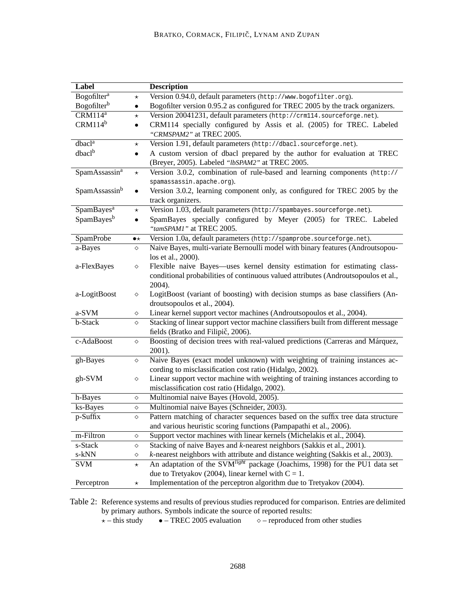| Label                     |                | <b>Description</b>                                                                                                         |
|---------------------------|----------------|----------------------------------------------------------------------------------------------------------------------------|
| Bogofilter <sup>a</sup>   | $\star$        | Version 0.94.0, default parameters (http://www.bogofilter.org).                                                            |
| Bogofilter <sup>b</sup>   | ٠              | Bogofilter version 0.95.2 as configured for TREC 2005 by the track organizers.                                             |
| $CRM114^a$                | $\star$        | Version 20041231, default parameters (http://crm114.sourceforge.net).                                                      |
| $CRM114^b$                | $\bullet$      | CRM114 specially configured by Assis et al. (2005) for TREC. Labeled                                                       |
|                           |                | "CRMSPAM2" at TREC 2005.                                                                                                   |
| dbacl <sup>a</sup>        | $^\star$       | Version 1.91, default parameters (http://dbacl.sourceforge.net).                                                           |
| dbacl <sup>b</sup>        |                | A custom version of dbacl prepared by the author for evaluation at TREC<br>(Breyer, 2005). Labeled "lbSPAM2" at TREC 2005. |
| SpamAssassin <sup>a</sup> | $\star$        | Version 3.0.2, combination of rule-based and learning components (http://                                                  |
|                           |                | spamassassin.apache.org).                                                                                                  |
| SpamAssassin <sup>b</sup> |                | Version 3.0.2, learning component only, as configured for TREC 2005 by the                                                 |
|                           |                | track organizers.                                                                                                          |
| SpamBayes <sup>a</sup>    | $^\star$       | Version 1.03, default parameters (http://spambayes.sourceforge.net).                                                       |
| SpamBayes <sup>b</sup>    | $\bullet$      | SpamBayes specially configured by Meyer (2005) for TREC. Labeled                                                           |
|                           |                | "tamSPAM1" at TREC 2005.                                                                                                   |
| SpamProbe                 | $\bullet\star$ | Version 1.0a, default parameters (http://spamprobe.sourceforge.net).                                                       |
| a-Bayes                   | $\Diamond$     | Naive Bayes, multi-variate Bernoulli model with binary features (Androutsopou-                                             |
|                           |                | los et al., 2000).                                                                                                         |
| a-FlexBayes               | ♦              | Flexible naive Bayes—uses kernel density estimation for estimating class-                                                  |
|                           |                | conditional probabilities of continuous valued attributes (Androutsopoulos et al.,                                         |
|                           |                | 2004).                                                                                                                     |
| a-LogitBoost              | $\Diamond$     | LogitBoost (variant of boosting) with decision stumps as base classifiers (An-                                             |
|                           |                | droutsopoulos et al., 2004).                                                                                               |
| a-SVM                     | $\Diamond$     | Linear kernel support vector machines (Androutsopoulos et al., 2004).                                                      |
| b-Stack                   | $\Diamond$     | Stacking of linear support vector machine classifiers built from different message                                         |
|                           |                | fields (Bratko and Filipič, 2006).                                                                                         |
| c-AdaBoost                | $\Diamond$     | Boosting of decision trees with real-valued predictions (Carreras and Márquez,                                             |
|                           |                | 2001).                                                                                                                     |
| gh-Bayes                  | $\Diamond$     | Naive Bayes (exact model unknown) with weighting of training instances ac-                                                 |
|                           |                | cording to misclassification cost ratio (Hidalgo, 2002).                                                                   |
| gh-SVM                    | $\Diamond$     | Linear support vector machine with weighting of training instances according to                                            |
|                           |                | misclassification cost ratio (Hidalgo, 2002).                                                                              |
| h-Bayes                   | $\Diamond$     | Multinomial naive Bayes (Hovold, 2005).                                                                                    |
| ks-Bayes                  | ♦              | Multinomial naive Bayes (Schneider, 2003).                                                                                 |
| p-Suffix                  | $\Diamond$     | Pattern matching of character sequences based on the suffix tree data structure                                            |
|                           |                | and various heuristic scoring functions (Pampapathi et al., 2006).                                                         |
| m-Filtron                 | $\Diamond$     | Support vector machines with linear kernels (Michelakis et al., 2004).                                                     |
| s-Stack                   | $\Diamond$     | Stacking of naive Bayes and k-nearest neighbors (Sakkis et al., 2001).                                                     |
| s-kNN                     | $\Diamond$     | k-nearest neighbors with attribute and distance weighting (Sakkis et al., 2003).                                           |
| <b>SVM</b>                | $\star$        | An adaptation of the SVM <sup>light</sup> package (Joachims, 1998) for the PU1 data set                                    |
|                           |                | due to Tretyakov (2004), linear kernel with $C = 1$ .                                                                      |
| Perceptron                | $\star$        | Implementation of the perceptron algorithm due to Tretyakov (2004).                                                        |

Table 2: Reference systems and results of previous studies reproduced for comparison. Entries are delimited by primary authors. Symbols indicate the source of reported results:

 $\star$  – this study  $\bullet$  – TREC 2005 evaluation  $\diamond$  – reproduced from other studies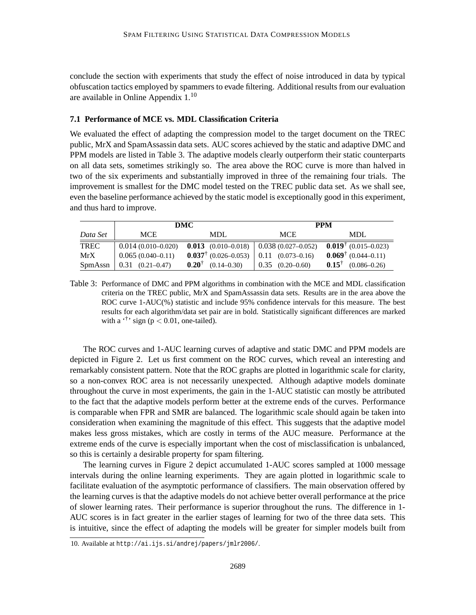conclude the section with experiments that study the effect of noise introduced in data by typical obfuscation tactics employed by spammers to evade filtering. Additional results from our evaluation are available in Online Appendix 1.<sup>10</sup>

#### **7.1 Performance of MCE vs. MDL Classification Criteria**

We evaluated the effect of adapting the compression model to the target document on the TREC public, MrX and SpamAssassin data sets. AUC scores achieved by the static and adaptive DMC and PPM models are listed in Table 3. The adaptive models clearly outperform their static counterparts on all data sets, sometimes strikingly so. The area above the ROC curve is more than halved in two of the six experiments and substantially improved in three of the remaining four trials. The improvement is smallest for the DMC model tested on the TREC public data set. As we shall see, even the baseline performance achieved by the static model is exceptionally good in this experiment, and thus hard to improve.

|             |                            | DMC                                                 | <b>PPM</b>           |                                      |  |
|-------------|----------------------------|-----------------------------------------------------|----------------------|--------------------------------------|--|
| Data Set    | <b>MCE</b>                 | MDL                                                 | <b>MCE</b>           | <b>MDL</b>                           |  |
| <b>TREC</b> | $0.014(0.010-0.020)$       | <b>0.013</b> (0.010–0.018)   0.038 (0.027–0.052)    |                      | $0.019^{\dagger}$ (0.015–0.023)      |  |
| MrX         | $0.065(0.040-0.11)$        | $0.037^{\dagger}$ (0.026–0.053)   0.11 (0.073–0.16) |                      | $0.069^{\dagger}$ (0.044–0.11)       |  |
| SpmAssn     | $0.31 \quad (0.21 - 0.47)$ | $0.20^{\dagger}$<br>$(0.14 - 0.30)$                 | $0.35$ $(0.20-0.60)$ | $0.15^{\dagger}$<br>$(0.086 - 0.26)$ |  |

Table 3: Performance of DMC and PPM algorithms in combination with the MCE and MDL classification criteria on the TREC public, MrX and SpamAssassin data sets. Results are in the area above the ROC curve 1-AUC(%) statistic and include 95% confidence intervals for this measure. The best results for each algorithm/data set pair are in bold. Statistically significant differences are marked with a  $\cdot$ <sup>†</sup>' sign (p < 0.01, one-tailed).

The ROC curves and 1-AUC learning curves of adaptive and static DMC and PPM models are depicted in Figure 2. Let us first comment on the ROC curves, which reveal an interesting and remarkably consistent pattern. Note that the ROC graphs are plotted in logarithmic scale for clarity, so a non-convex ROC area is not necessarily unexpected. Although adaptive models dominate throughout the curve in most experiments, the gain in the 1-AUC statistic can mostly be attributed to the fact that the adaptive models perform better at the extreme ends of the curves. Performance is comparable when FPR and SMR are balanced. The logarithmic scale should again be taken into consideration when examining the magnitude of this effect. This suggests that the adaptive model makes less gross mistakes, which are costly in terms of the AUC measure. Performance at the extreme ends of the curve is especially important when the cost of misclassification is unbalanced, so this is certainly a desirable property for spam filtering.

The learning curves in Figure 2 depict accumulated 1-AUC scores sampled at 1000 message intervals during the online learning experiments. They are again plotted in logarithmic scale to facilitate evaluation of the asymptotic performance of classifiers. The main observation offered by the learning curves is that the adaptive models do not achieve better overall performance at the price of slower learning rates. Their performance is superior throughout the runs. The difference in 1- AUC scores is in fact greater in the earlier stages of learning for two of the three data sets. This is intuitive, since the effect of adapting the models will be greater for simpler models built from

<sup>10.</sup> Available at http://ai.ijs.si/andrej/papers/jmlr2006/.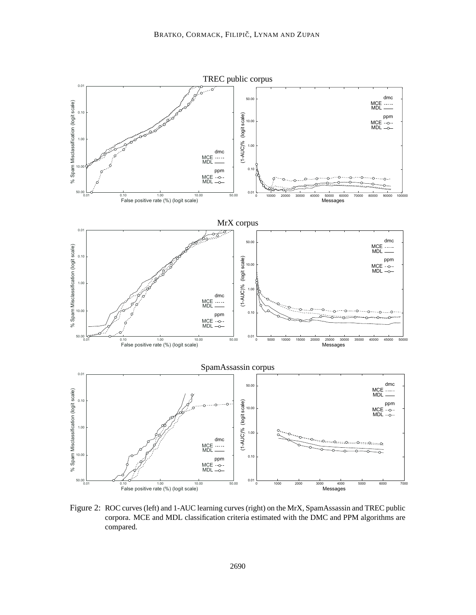

Figure 2: ROC curves (left) and 1-AUC learning curves (right) on the MrX, SpamAssassin and TREC public corpora. MCE and MDL classification criteria estimated with the DMC and PPM algorithms are compared.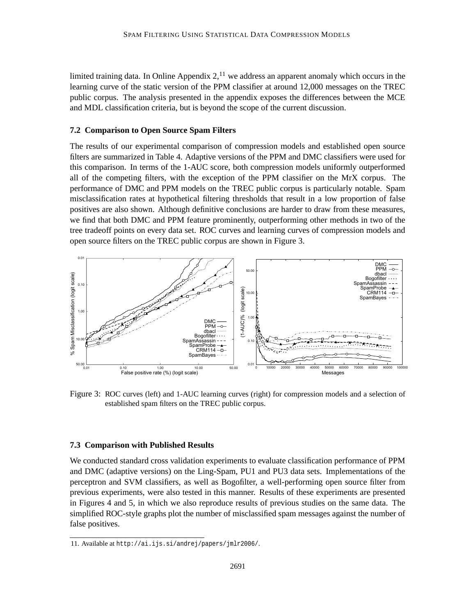limited training data. In Online Appendix  $2<sup>11</sup>$ , we address an apparent anomaly which occurs in the learning curve of the static version of the PPM classifier at around 12,000 messages on the TREC public corpus. The analysis presented in the appendix exposes the differences between the MCE and MDL classification criteria, but is beyond the scope of the current discussion.

#### **7.2 Comparison to Open Source Spam Filters**

The results of our experimental comparison of compression models and established open source filters are summarized in Table 4. Adaptive versions of the PPM and DMC classifiers were used for this comparison. In terms of the 1-AUC score, both compression models uniformly outperformed all of the competing filters, with the exception of the PPM classifier on the MrX corpus. The performance of DMC and PPM models on the TREC public corpus is particularly notable. Spam misclassification rates at hypothetical filtering thresholds that result in a low proportion of false positives are also shown. Although definitive conclusions are harder to draw from these measures, we find that both DMC and PPM feature prominently, outperforming other methods in two of the tree tradeoff points on every data set. ROC curves and learning curves of compression models and open source filters on the TREC public corpus are shown in Figure 3.



Figure 3: ROC curves (left) and 1-AUC learning curves (right) for compression models and a selection of established spam filters on the TREC public corpus.

#### **7.3 Comparison with Published Results**

We conducted standard cross validation experiments to evaluate classification performance of PPM and DMC (adaptive versions) on the Ling-Spam, PU1 and PU3 data sets. Implementations of the perceptron and SVM classifiers, as well as Bogofilter, a well-performing open source filter from previous experiments, were also tested in this manner. Results of these experiments are presented in Figures 4 and 5, in which we also reproduce results of previous studies on the same data. The simplified ROC-style graphs plot the number of misclassified spam messages against the number of false positives.

<sup>11.</sup> Available at http://ai.ijs.si/andrej/papers/jmlr2006/.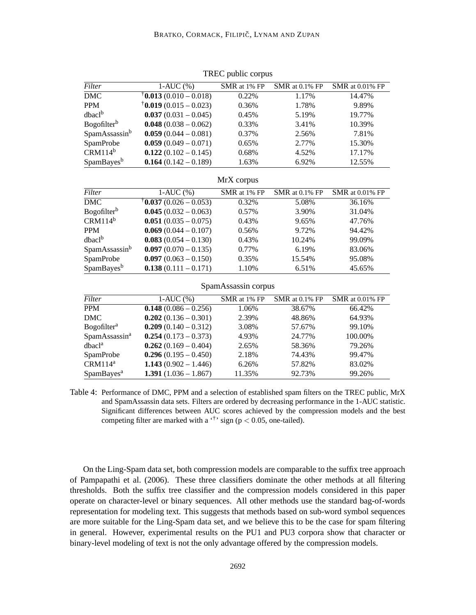| Filter                         | $1-AUC(%)$                                        | SMR at 1% FP | SMR at 0.1% FP | <b>SMR</b> at 0.01% FP |  |  |  |
|--------------------------------|---------------------------------------------------|--------------|----------------|------------------------|--|--|--|
| $\overline{\text{DMC}}$        | $\textcolor{red}{\dagger}$ 0.013 (0.010 – 0.018)  | 0.22%        | 1.17%          | 14.47%                 |  |  |  |
| <b>PPM</b>                     | $\text{ }^{\dagger}$ <b>0.019</b> (0.015 – 0.023) | 0.36%        | 1.78%          | 9.89%                  |  |  |  |
| dbacl <sup>b</sup>             | $0.037(0.031 - 0.045)$                            | 0.45%        | 5.19%          | 19.77%                 |  |  |  |
| Bogofilter <sup>b</sup>        | $0.048(0.038 - 0.062)$                            | 0.33%        | 3.41%          | 10.39%                 |  |  |  |
| SpamAssassinb                  | $0.059(0.044 - 0.081)$                            | 0.37%        | 2.56%          | 7.81%                  |  |  |  |
| SpamProbe                      | $0.059(0.049 - 0.071)$                            | 0.65%        | 2.77%          | 15.30%                 |  |  |  |
| $CRM114^b$                     | $0.122(0.102 - 0.145)$                            | 0.68%        | 4.52%          | 17.17%                 |  |  |  |
| SpamBayes <sup>b</sup>         | $0.164(0.142 - 0.189)$                            | 1.63%        | 6.92%          | 12.55%                 |  |  |  |
| MrX corpus                     |                                                   |              |                |                        |  |  |  |
| Filter                         | $1-AUC(%)$                                        | SMR at 1% FP | SMR at 0.1% FP | SMR at 0.01% FP        |  |  |  |
| $\overline{\text{DMC}}$        | $\textcolor{red}{\ddagger}$ 0.037 (0.026 – 0.053) | 0.32%        | 5.08%          | 36.16%                 |  |  |  |
| Bogofilter <sup>b</sup>        | $0.045(0.032 - 0.063)$                            | 0.57%        | 3.90%          | 31.04%                 |  |  |  |
| $CRM114^b$                     | $0.051(0.035 - 0.075)$                            | 0.43%        | 9.65%          | 47.76%                 |  |  |  |
| <b>PPM</b>                     | $0.069(0.044 - 0.107)$                            | 0.56%        | 9.72%          | 94.42%                 |  |  |  |
| $dbac1^b$                      | $0.083(0.054 - 0.130)$                            | 0.43%        | 10.24%         | 99.09%                 |  |  |  |
| SpamAssassinb                  | $0.097(0.070 - 0.135)$                            | 0.77%        | 6.19%          | 83.06%                 |  |  |  |
| SpamProbe                      | $0.097(0.063 - 0.150)$                            | 0.35%        | 15.54%         | 95.08%                 |  |  |  |
| SpamBayes <sup>b</sup>         | $0.138(0.111 - 0.171)$                            | 1.10%        | 6.51%          | 45.65%                 |  |  |  |
| SpamAssassin corpus            |                                                   |              |                |                        |  |  |  |
| Filter                         | $1-AUC(%)$                                        | SMR at 1% FP | SMR at 0.1% FP | SMR at 0.01% FP        |  |  |  |
| $\overline{PPM}$               | $0.148(0.086 - 0.256)$                            | 1.06%        | 38.67%         | 66.42%                 |  |  |  |
| <b>DMC</b>                     | $0.202(0.136 - 0.301)$                            | 2.39%        | 48.86%         | 64.93%                 |  |  |  |
| <b>Bogofilter</b> <sup>a</sup> | $0.209(0.140 - 0.312)$                            | 3.08%        | 57.67%         | 99.10%                 |  |  |  |
| SpamAssassin <sup>a</sup>      | $0.254(0.173 - 0.373)$                            | 4.93%        | 24.77%         | 100.00%                |  |  |  |
| dbacl <sup>a</sup>             | $0.262(0.169 - 0.404)$                            | 2.65%        | 58.36%         | 79.26%                 |  |  |  |
| SpamProbe                      | $0.296(0.195 - 0.450)$                            | 2.18%        | 74.43%         | 99.47%                 |  |  |  |
| CRM114 <sup>a</sup>            | 1.143 $(0.902 - 1.446)$                           | 6.26%        | 57.82%         | 83.02%                 |  |  |  |
| SpamBayes <sup>a</sup>         | 1.391 $(1.036 - 1.867)$                           | 11.35%       | 92.73%         | 99.26%                 |  |  |  |

TREC public corpus

Table 4: Performance of DMC, PPM and a selection of established spam filters on the TREC public, MrX and SpamAssassin data sets. Filters are ordered by decreasing performance in the 1-AUC statistic. Significant differences between AUC scores achieved by the compression models and the best competing filter are marked with a  $\cdot$ <sup>†</sup>' sign (p < 0.05, one-tailed).

On the Ling-Spam data set, both compression models are comparable to the suffix tree approach of Pampapathi et al. (2006). These three classifiers dominate the other methods at all filtering thresholds. Both the suffix tree classifier and the compression models considered in this paper operate on character-level or binary sequences. All other methods use the standard bag-of-words representation for modeling text. This suggests that methods based on sub-word symbol sequences are more suitable for the Ling-Spam data set, and we believe this to be the case for spam filtering in general. However, experimental results on the PU1 and PU3 corpora show that character or binary-level modeling of text is not the only advantage offered by the compression models.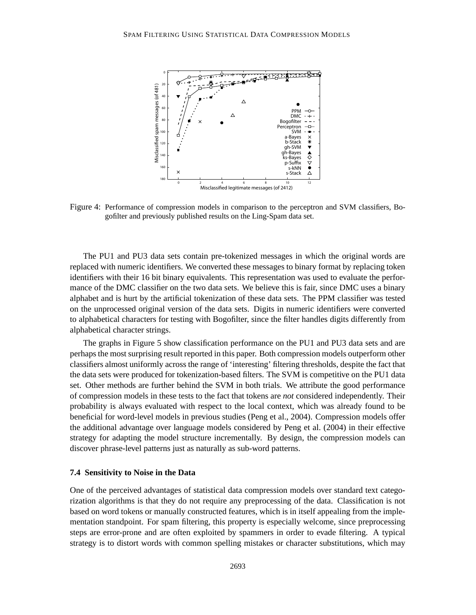

Figure 4: Performance of compression models in comparison to the perceptron and SVM classifiers, Bogofilter and previously published results on the Ling-Spam data set.

The PU1 and PU3 data sets contain pre-tokenized messages in which the original words are replaced with numeric identifiers. We converted these messages to binary format by replacing token identifiers with their 16 bit binary equivalents. This representation was used to evaluate the performance of the DMC classifier on the two data sets. We believe this is fair, since DMC uses a binary alphabet and is hurt by the artificial tokenization of these data sets. The PPM classifier was tested on the unprocessed original version of the data sets. Digits in numeric identifiers were converted to alphabetical characters for testing with Bogofilter, since the filter handles digits differently from alphabetical character strings.

The graphs in Figure 5 show classification performance on the PU1 and PU3 data sets and are perhaps the most surprising result reported in this paper. Both compression models outperform other classifiers almost uniformly across the range of 'interesting' filtering thresholds, despite the fact that the data sets were produced for tokenization-based filters. The SVM is competitive on the PU1 data set. Other methods are further behind the SVM in both trials. We attribute the good performance of compression models in these tests to the fact that tokens are *not* considered independently. Their probability is always evaluated with respect to the local context, which was already found to be beneficial for word-level models in previous studies (Peng et al., 2004). Compression models offer the additional advantage over language models considered by Peng et al. (2004) in their effective strategy for adapting the model structure incrementally. By design, the compression models can discover phrase-level patterns just as naturally as sub-word patterns.

#### **7.4 Sensitivity to Noise in the Data**

One of the perceived advantages of statistical data compression models over standard text categorization algorithms is that they do not require any preprocessing of the data. Classification is not based on word tokens or manually constructed features, which is in itself appealing from the implementation standpoint. For spam filtering, this property is especially welcome, since preprocessing steps are error-prone and are often exploited by spammers in order to evade filtering. A typical strategy is to distort words with common spelling mistakes or character substitutions, which may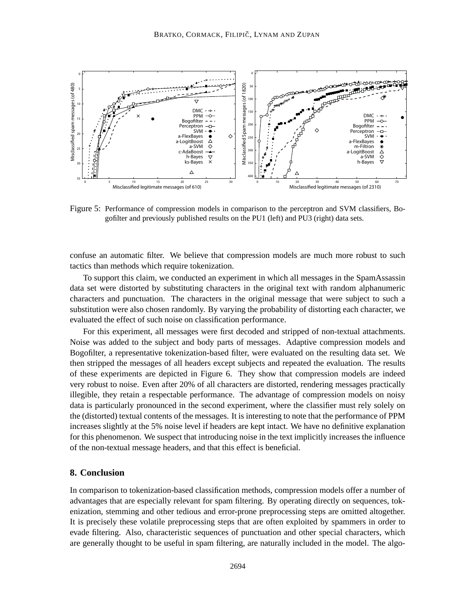

Figure 5: Performance of compression models in comparison to the perceptron and SVM classifiers, Bogofilter and previously published results on the PU1 (left) and PU3 (right) data sets.

confuse an automatic filter. We believe that compression models are much more robust to such tactics than methods which require tokenization.

To support this claim, we conducted an experiment in which all messages in the SpamAssassin data set were distorted by substituting characters in the original text with random alphanumeric characters and punctuation. The characters in the original message that were subject to such a substitution were also chosen randomly. By varying the probability of distorting each character, we evaluated the effect of such noise on classification performance.

For this experiment, all messages were first decoded and stripped of non-textual attachments. Noise was added to the subject and body parts of messages. Adaptive compression models and Bogofilter, a representative tokenization-based filter, were evaluated on the resulting data set. We then stripped the messages of all headers except subjects and repeated the evaluation. The results of these experiments are depicted in Figure 6. They show that compression models are indeed very robust to noise. Even after 20% of all characters are distorted, rendering messages practically illegible, they retain a respectable performance. The advantage of compression models on noisy data is particularly pronounced in the second experiment, where the classifier must rely solely on the (distorted) textual contents of the messages. It is interesting to note that the performance of PPM increases slightly at the 5% noise level if headers are kept intact. We have no definitive explanation for this phenomenon. We suspect that introducing noise in the text implicitly increases the influence of the non-textual message headers, and that this effect is beneficial.

#### **8. Conclusion**

In comparison to tokenization-based classification methods, compression models offer a number of advantages that are especially relevant for spam filtering. By operating directly on sequences, tokenization, stemming and other tedious and error-prone preprocessing steps are omitted altogether. It is precisely these volatile preprocessing steps that are often exploited by spammers in order to evade filtering. Also, characteristic sequences of punctuation and other special characters, which are generally thought to be useful in spam filtering, are naturally included in the model. The algo-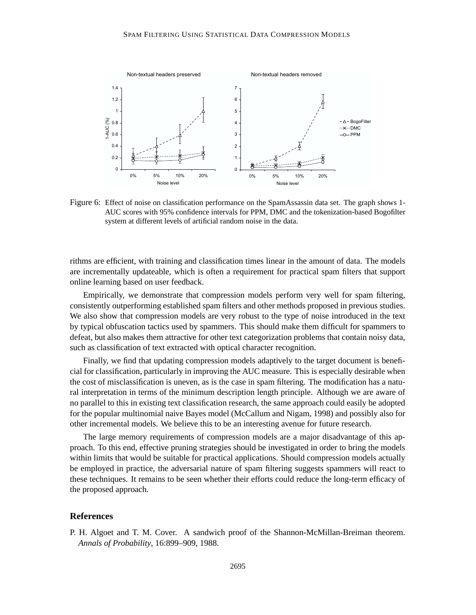

Figure 6: Effect of noise on classification performance on the SpamAssassin data set. The graph shows 1- AUC scores with 95% confidence intervals for PPM, DMC and the tokenization-based Bogofilter system at different levels of artificial random noise in the data.

rithms are efficient, with training and classification times linear in the amount of data. The models are incrementally updateable, which is often a requirement for practical spam filters that support online learning based on user feedback.

Empirically, we demonstrate that compression models perform very well for spam filtering, consistently outperforming established spam filters and other methods proposed in previous studies. We also show that compression models are very robust to the type of noise introduced in the text by typical obfuscation tactics used by spammers. This should make them difficult for spammers to defeat, but also makes them attractive for other text categorization problems that contain noisy data, such as classification of text extracted with optical character recognition.

Finally, we find that updating compression models adaptively to the target document is beneficial for classification, particularly in improving the AUC measure. This is especially desirable when the cost of misclassification is uneven, as is the case in spam filtering. The modification has a natural interpretation in terms of the minimum description length principle. Although we are aware of no parallel to this in existing text classification research, the same approach could easily be adopted for the popular multinomial naive Bayes model (McCallum and Nigam, 1998) and possibly also for other incremental models. We believe this to be an interesting avenue for future research.

The large memory requirements of compression models are a major disadvantage of this approach. To this end, effective pruning strategies should be investigated in order to bring the models within limits that would be suitable for practical applications. Should compression models actually be employed in practice, the adversarial nature of spam filtering suggests spammers will react to these techniques. It remains to be seen whether their efforts could reduce the long-term efficacy of the proposed approach.

#### **References**

P. H. Algoet and T. M. Cover. A sandwich proof of the Shannon-McMillan-Breiman theorem. *Annals of Probability*, 16:899–909, 1988.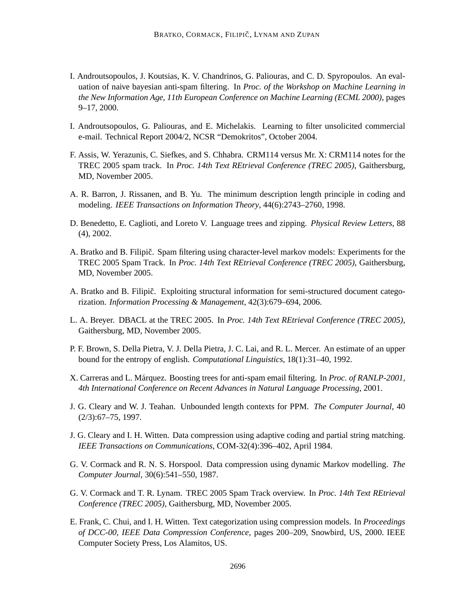- I. Androutsopoulos, J. Koutsias, K. V. Chandrinos, G. Paliouras, and C. D. Spyropoulos. An evaluation of naive bayesian anti-spam filtering. In *Proc. of the Workshop on Machine Learning in the New Information Age, 11th European Conference on Machine Learning (ECML 2000)*, pages 9–17, 2000.
- I. Androutsopoulos, G. Paliouras, and E. Michelakis. Learning to filter unsolicited commercial e-mail. Technical Report 2004/2, NCSR "Demokritos", October 2004.
- F. Assis, W. Yerazunis, C. Siefkes, and S. Chhabra. CRM114 versus Mr. X: CRM114 notes for the TREC 2005 spam track. In *Proc. 14th Text REtrieval Conference (TREC 2005)*, Gaithersburg, MD, November 2005.
- A. R. Barron, J. Rissanen, and B. Yu. The minimum description length principle in coding and modeling. *IEEE Transactions on Information Theory*, 44(6):2743–2760, 1998.
- D. Benedetto, E. Caglioti, and Loreto V. Language trees and zipping. *Physical Review Letters*, 88 (4), 2002.
- A. Bratko and B. Filipič. Spam filtering using character-level markov models: Experiments for the TREC 2005 Spam Track. In *Proc. 14th Text REtrieval Conference (TREC 2005)*, Gaithersburg, MD, November 2005.
- A. Bratko and B. Filipič. Exploiting structural information for semi-structured document categorization. *Information Processing & Management*, 42(3):679–694, 2006.
- L. A. Breyer. DBACL at the TREC 2005. In *Proc. 14th Text REtrieval Conference (TREC 2005)*, Gaithersburg, MD, November 2005.
- P. F. Brown, S. Della Pietra, V. J. Della Pietra, J. C. Lai, and R. L. Mercer. An estimate of an upper bound for the entropy of english. *Computational Linguistics*, 18(1):31–40, 1992.
- X. Carreras and L. Marquez. ´ Boosting trees for anti-spam email filtering. In *Proc. of RANLP-2001, 4th International Conference on Recent Advances in Natural Language Processing*, 2001.
- J. G. Cleary and W. J. Teahan. Unbounded length contexts for PPM. *The Computer Journal*, 40 (2/3):67–75, 1997.
- J. G. Cleary and I. H. Witten. Data compression using adaptive coding and partial string matching. *IEEE Transactions on Communications*, COM-32(4):396–402, April 1984.
- G. V. Cormack and R. N. S. Horspool. Data compression using dynamic Markov modelling. *The Computer Journal*, 30(6):541–550, 1987.
- G. V. Cormack and T. R. Lynam. TREC 2005 Spam Track overview. In *Proc. 14th Text REtrieval Conference (TREC 2005)*, Gaithersburg, MD, November 2005.
- E. Frank, C. Chui, and I. H. Witten. Text categorization using compression models. In *Proceedings of DCC-00, IEEE Data Compression Conference*, pages 200–209, Snowbird, US, 2000. IEEE Computer Society Press, Los Alamitos, US.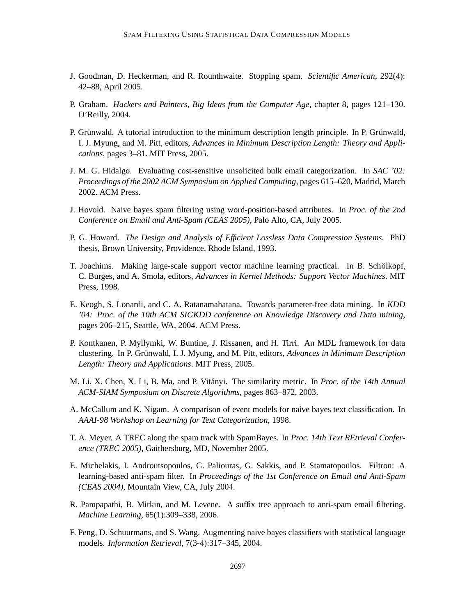- J. Goodman, D. Heckerman, and R. Rounthwaite. Stopping spam. *Scientific American*, 292(4): 42–88, April 2005.
- P. Graham. *Hackers and Painters, Big Ideas from the Computer Age*, chapter 8, pages 121–130. O'Reilly, 2004.
- P. Grünwald. A tutorial introduction to the minimum description length principle. In P. Grünwald, I. J. Myung, and M. Pitt, editors, *Advances in Minimum Description Length: Theory and Applications*, pages 3–81. MIT Press, 2005.
- J. M. G. Hidalgo. Evaluating cost-sensitive unsolicited bulk email categorization. In *SAC '02: Proceedings of the 2002 ACM Symposium on Applied Computing*, pages 615–620, Madrid, March 2002. ACM Press.
- J. Hovold. Naive bayes spam filtering using word-position-based attributes. In *Proc. of the 2nd Conference on Email and Anti-Spam (CEAS 2005)*, Palo Alto, CA, July 2005.
- P. G. Howard. *The Design and Analysis of Efficient Lossless Data Compression Systems.* PhD thesis, Brown University, Providence, Rhode Island, 1993.
- T. Joachims. Making large-scale support vector machine learning practical. In B. Schölkopf, C. Burges, and A. Smola, editors, *Advances in Kernel Methods: Support Vector Machines*. MIT Press, 1998.
- E. Keogh, S. Lonardi, and C. A. Ratanamahatana. Towards parameter-free data mining. In *KDD '04: Proc. of the 10th ACM SIGKDD conference on Knowledge Discovery and Data mining*, pages 206–215, Seattle, WA, 2004. ACM Press.
- P. Kontkanen, P. Myllymki, W. Buntine, J. Rissanen, and H. Tirri. An MDL framework for data clustering. In P. Grünwald, I. J. Myung, and M. Pitt, editors, *Advances in Minimum Description Length: Theory and Applications*. MIT Press, 2005.
- M. Li, X. Chen, X. Li, B. Ma, and P. Vitányi. The similarity metric. In *Proc. of the 14th Annual ACM-SIAM Symposium on Discrete Algorithms*, pages 863–872, 2003.
- A. McCallum and K. Nigam. A comparison of event models for naive bayes text classification. In *AAAI-98 Workshop on Learning for Text Categorization*, 1998.
- T. A. Meyer. A TREC along the spam track with SpamBayes. In *Proc. 14th Text REtrieval Conference (TREC 2005)*, Gaithersburg, MD, November 2005.
- E. Michelakis, I. Androutsopoulos, G. Paliouras, G. Sakkis, and P. Stamatopoulos. Filtron: A learning-based anti-spam filter. In *Proceedings of the 1st Conference on Email and Anti-Spam (CEAS 2004)*, Mountain View, CA, July 2004.
- R. Pampapathi, B. Mirkin, and M. Levene. A suffix tree approach to anti-spam email filtering. *Machine Learning*, 65(1):309–338, 2006.
- F. Peng, D. Schuurmans, and S. Wang. Augmenting naive bayes classifiers with statistical language models. *Information Retrieval*, 7(3-4):317–345, 2004.